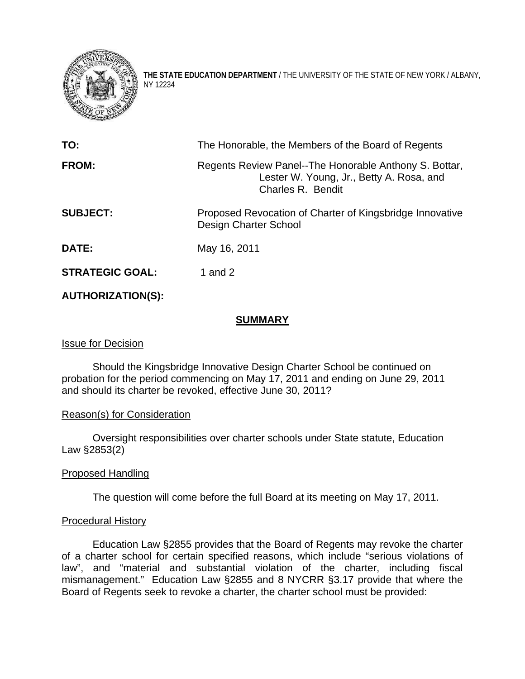

**THE STATE EDUCATION DEPARTMENT** / THE UNIVERSITY OF THE STATE OF NEW YORK / ALBANY, NY 12234

| TO:                    | The Honorable, the Members of the Board of Regents                                                                      |
|------------------------|-------------------------------------------------------------------------------------------------------------------------|
| FROM:                  | Regents Review Panel--The Honorable Anthony S. Bottar,<br>Lester W. Young, Jr., Betty A. Rosa, and<br>Charles R. Bendit |
| <b>SUBJECT:</b>        | Proposed Revocation of Charter of Kingsbridge Innovative<br>Design Charter School                                       |
| <b>DATE:</b>           | May 16, 2011                                                                                                            |
| <b>STRATEGIC GOAL:</b> | 1 and $2$                                                                                                               |

## **AUTHORIZATION(S):**

## **SUMMARY**

# Issue for Decision

Should the Kingsbridge Innovative Design Charter School be continued on probation for the period commencing on May 17, 2011 and ending on June 29, 2011 and should its charter be revoked, effective June 30, 2011?

## Reason(s) for Consideration

Oversight responsibilities over charter schools under State statute, Education Law §2853(2)

## Proposed Handling

The question will come before the full Board at its meeting on May 17, 2011.

## Procedural History

Education Law §2855 provides that the Board of Regents may revoke the charter of a charter school for certain specified reasons, which include "serious violations of law", and "material and substantial violation of the charter, including fiscal mismanagement." Education Law §2855 and 8 NYCRR §3.17 provide that where the Board of Regents seek to revoke a charter, the charter school must be provided: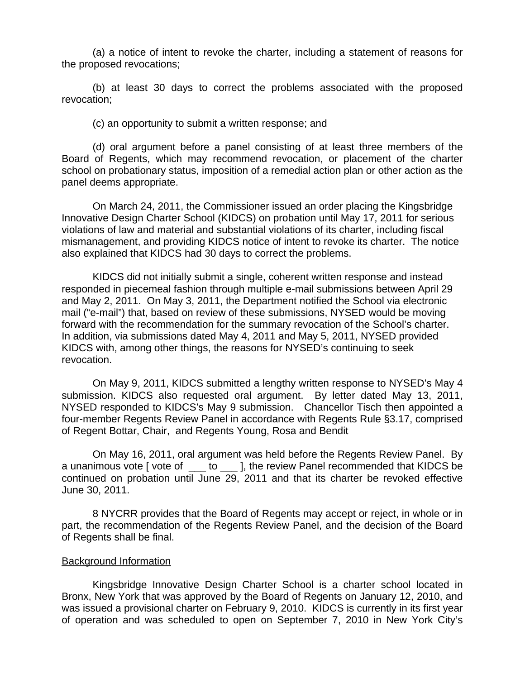(a) a notice of intent to revoke the charter, including a statement of reasons for the proposed revocations;

(b) at least 30 days to correct the problems associated with the proposed revocation;

(c) an opportunity to submit a written response; and

(d) oral argument before a panel consisting of at least three members of the Board of Regents, which may recommend revocation, or placement of the charter school on probationary status, imposition of a remedial action plan or other action as the panel deems appropriate.

On March 24, 2011, the Commissioner issued an order placing the Kingsbridge Innovative Design Charter School (KIDCS) on probation until May 17, 2011 for serious violations of law and material and substantial violations of its charter, including fiscal mismanagement, and providing KIDCS notice of intent to revoke its charter. The notice also explained that KIDCS had 30 days to correct the problems.

KIDCS did not initially submit a single, coherent written response and instead responded in piecemeal fashion through multiple e-mail submissions between April 29 and May 2, 2011. On May 3, 2011, the Department notified the School via electronic mail ("e-mail") that, based on review of these submissions, NYSED would be moving forward with the recommendation for the summary revocation of the School's charter. In addition, via submissions dated May 4, 2011 and May 5, 2011, NYSED provided KIDCS with, among other things, the reasons for NYSED's continuing to seek revocation.

On May 9, 2011, KIDCS submitted a lengthy written response to NYSED's May 4 submission. KIDCS also requested oral argument. By letter dated May 13, 2011, NYSED responded to KIDCS's May 9 submission. Chancellor Tisch then appointed a four-member Regents Review Panel in accordance with Regents Rule §3.17, comprised of Regent Bottar, Chair, and Regents Young, Rosa and Bendit

On May 16, 2011, oral argument was held before the Regents Review Panel. By a unanimous vote [ vote of  $\_\_\_$  to  $\_\_\_$ ], the review Panel recommended that KIDCS be continued on probation until June 29, 2011 and that its charter be revoked effective June 30, 2011.

8 NYCRR provides that the Board of Regents may accept or reject, in whole or in part, the recommendation of the Regents Review Panel, and the decision of the Board of Regents shall be final.

#### Background Information

Kingsbridge Innovative Design Charter School is a charter school located in Bronx, New York that was approved by the Board of Regents on January 12, 2010, and was issued a provisional charter on February 9, 2010. KIDCS is currently in its first year of operation and was scheduled to open on September 7, 2010 in New York City's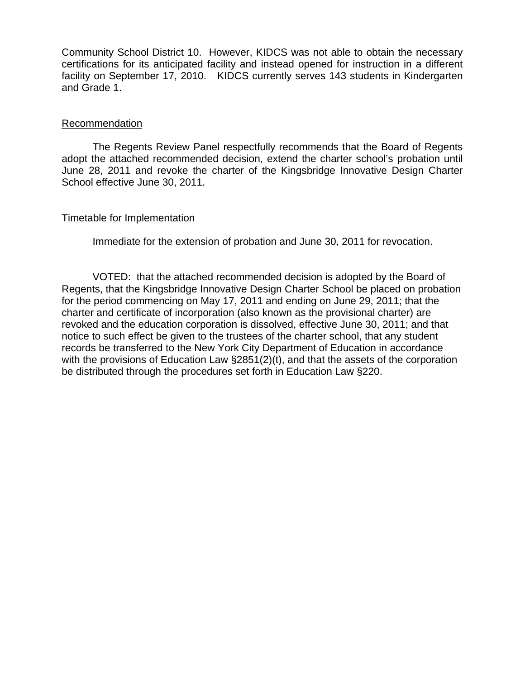Community School District 10. However, KIDCS was not able to obtain the necessary certifications for its anticipated facility and instead opened for instruction in a different facility on September 17, 2010. KIDCS currently serves 143 students in Kindergarten and Grade 1.

### Recommendation

The Regents Review Panel respectfully recommends that the Board of Regents adopt the attached recommended decision, extend the charter school's probation until June 28, 2011 and revoke the charter of the Kingsbridge Innovative Design Charter School effective June 30, 2011.

### Timetable for Implementation

Immediate for the extension of probation and June 30, 2011 for revocation.

VOTED: that the attached recommended decision is adopted by the Board of Regents, that the Kingsbridge Innovative Design Charter School be placed on probation for the period commencing on May 17, 2011 and ending on June 29, 2011; that the charter and certificate of incorporation (also known as the provisional charter) are revoked and the education corporation is dissolved, effective June 30, 2011; and that notice to such effect be given to the trustees of the charter school, that any student records be transferred to the New York City Department of Education in accordance with the provisions of Education Law §2851(2)(t), and that the assets of the corporation be distributed through the procedures set forth in Education Law §220.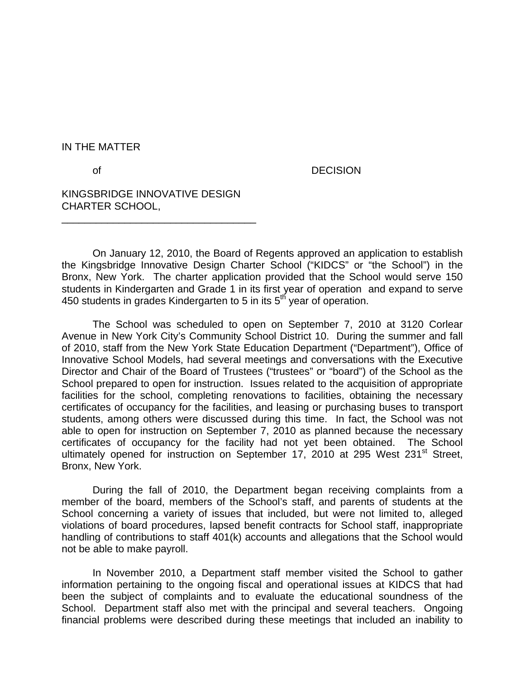IN THE MATTER

of **DECISION** 

KINGSBRIDGE INNOVATIVE DESIGN CHARTER SCHOOL,

\_\_\_\_\_\_\_\_\_\_\_\_\_\_\_\_\_\_\_\_\_\_\_\_\_\_\_\_\_\_\_\_\_\_

On January 12, 2010, the Board of Regents approved an application to establish the Kingsbridge Innovative Design Charter School ("KIDCS" or "the School") in the Bronx, New York. The charter application provided that the School would serve 150 students in Kindergarten and Grade 1 in its first year of operation and expand to serve 450 students in grades Kindergarten to 5 in its  $5<sup>th</sup>$  year of operation.

The School was scheduled to open on September 7, 2010 at 3120 Corlear Avenue in New York City's Community School District 10. During the summer and fall of 2010, staff from the New York State Education Department ("Department"), Office of Innovative School Models, had several meetings and conversations with the Executive Director and Chair of the Board of Trustees ("trustees" or "board") of the School as the School prepared to open for instruction. Issues related to the acquisition of appropriate facilities for the school, completing renovations to facilities, obtaining the necessary certificates of occupancy for the facilities, and leasing or purchasing buses to transport students, among others were discussed during this time. In fact, the School was not able to open for instruction on September 7, 2010 as planned because the necessary certificates of occupancy for the facility had not yet been obtained. The School ultimately opened for instruction on September 17, 2010 at 295 West 231<sup>st</sup> Street, Bronx, New York.

 During the fall of 2010, the Department began receiving complaints from a member of the board, members of the School's staff, and parents of students at the School concerning a variety of issues that included, but were not limited to, alleged violations of board procedures, lapsed benefit contracts for School staff, inappropriate handling of contributions to staff 401(k) accounts and allegations that the School would not be able to make payroll.

 In November 2010, a Department staff member visited the School to gather information pertaining to the ongoing fiscal and operational issues at KIDCS that had been the subject of complaints and to evaluate the educational soundness of the School. Department staff also met with the principal and several teachers. Ongoing financial problems were described during these meetings that included an inability to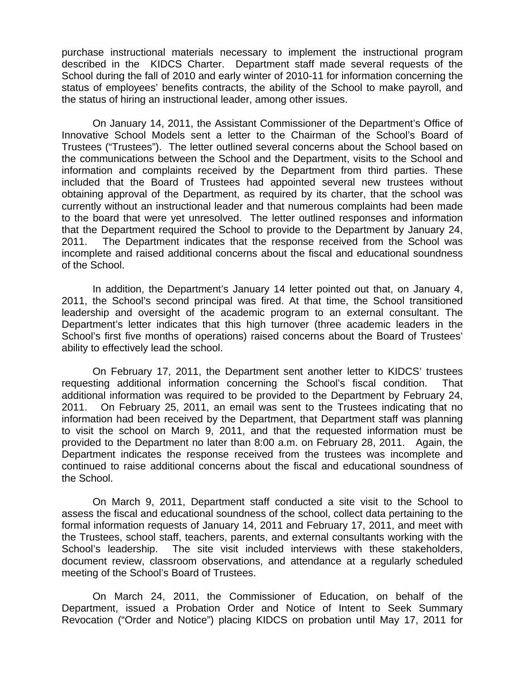purchase instructional materials necessary to implement the instructional program described in the KIDCS Charter. Department staff made several requests of the School during the fall of 2010 and early winter of 2010-11 for information concerning the status of employees' benefits contracts, the ability of the School to make payroll, and the status of hiring an instructional leader, among other issues.

 On January 14, 2011, the Assistant Commissioner of the Department's Office of Innovative School Models sent a letter to the Chairman of the School's Board of Trustees ("Trustees"). The letter outlined several concerns about the School based on the communications between the School and the Department, visits to the School and information and complaints received by the Department from third parties. These included that the Board of Trustees had appointed several new trustees without obtaining approval of the Department, as required by its charter, that the school was currently without an instructional leader and that numerous complaints had been made to the board that were yet unresolved. The letter outlined responses and information that the Department required the School to provide to the Department by January 24, 2011. The Department indicates that the response received from the School was incomplete and raised additional concerns about the fiscal and educational soundness of the School.

 In addition, the Department's January 14 letter pointed out that, on January 4, 2011, the School's second principal was fired. At that time, the School transitioned leadership and oversight of the academic program to an external consultant. The Department's letter indicates that this high turnover (three academic leaders in the School's first five months of operations) raised concerns about the Board of Trustees' ability to effectively lead the school.

 On February 17, 2011, the Department sent another letter to KIDCS' trustees requesting additional information concerning the School's fiscal condition. That additional information was required to be provided to the Department by February 24, 2011. On February 25, 2011, an email was sent to the Trustees indicating that no information had been received by the Department, that Department staff was planning to visit the school on March 9, 2011, and that the requested information must be provided to the Department no later than 8:00 a.m. on February 28, 2011. Again, the Department indicates the response received from the trustees was incomplete and continued to raise additional concerns about the fiscal and educational soundness of the School.

 On March 9, 2011, Department staff conducted a site visit to the School to assess the fiscal and educational soundness of the school, collect data pertaining to the formal information requests of January 14, 2011 and February 17, 2011, and meet with the Trustees, school staff, teachers, parents, and external consultants working with the School's leadership. The site visit included interviews with these stakeholders, document review, classroom observations, and attendance at a regularly scheduled meeting of the School's Board of Trustees.

On March 24, 2011, the Commissioner of Education, on behalf of the Department, issued a Probation Order and Notice of Intent to Seek Summary Revocation ("Order and Notice") placing KIDCS on probation until May 17, 2011 for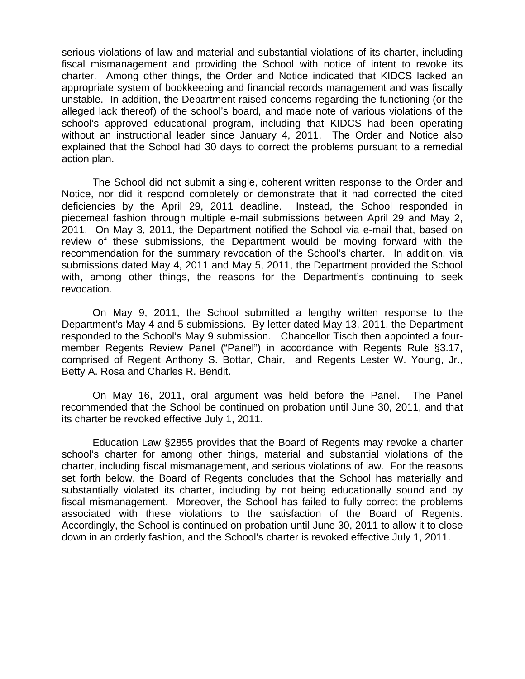serious violations of law and material and substantial violations of its charter, including fiscal mismanagement and providing the School with notice of intent to revoke its charter. Among other things, the Order and Notice indicated that KIDCS lacked an appropriate system of bookkeeping and financial records management and was fiscally unstable. In addition, the Department raised concerns regarding the functioning (or the alleged lack thereof) of the school's board, and made note of various violations of the school's approved educational program, including that KIDCS had been operating without an instructional leader since January 4, 2011. The Order and Notice also explained that the School had 30 days to correct the problems pursuant to a remedial action plan.

The School did not submit a single, coherent written response to the Order and Notice, nor did it respond completely or demonstrate that it had corrected the cited deficiencies by the April 29, 2011 deadline. Instead, the School responded in piecemeal fashion through multiple e-mail submissions between April 29 and May 2, 2011. On May 3, 2011, the Department notified the School via e-mail that, based on review of these submissions, the Department would be moving forward with the recommendation for the summary revocation of the School's charter. In addition, via submissions dated May 4, 2011 and May 5, 2011, the Department provided the School with, among other things, the reasons for the Department's continuing to seek revocation.

On May 9, 2011, the School submitted a lengthy written response to the Department's May 4 and 5 submissions. By letter dated May 13, 2011, the Department responded to the School's May 9 submission. Chancellor Tisch then appointed a fourmember Regents Review Panel ("Panel") in accordance with Regents Rule §3.17, comprised of Regent Anthony S. Bottar, Chair, and Regents Lester W. Young, Jr., Betty A. Rosa and Charles R. Bendit.

On May 16, 2011, oral argument was held before the Panel. The Panel recommended that the School be continued on probation until June 30, 2011, and that its charter be revoked effective July 1, 2011.

Education Law §2855 provides that the Board of Regents may revoke a charter school's charter for among other things, material and substantial violations of the charter, including fiscal mismanagement, and serious violations of law. For the reasons set forth below, the Board of Regents concludes that the School has materially and substantially violated its charter, including by not being educationally sound and by fiscal mismanagement. Moreover, the School has failed to fully correct the problems associated with these violations to the satisfaction of the Board of Regents. Accordingly, the School is continued on probation until June 30, 2011 to allow it to close down in an orderly fashion, and the School's charter is revoked effective July 1, 2011.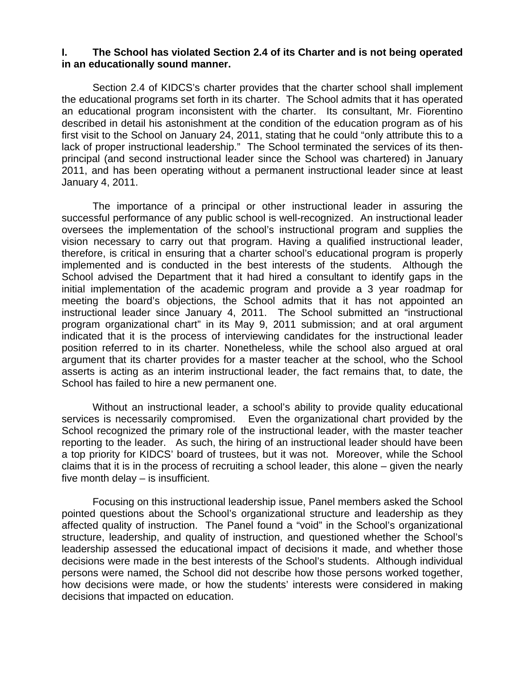### **I. The School has violated Section 2.4 of its Charter and is not being operated in an educationally sound manner.**

Section 2.4 of KIDCS's charter provides that the charter school shall implement the educational programs set forth in its charter. The School admits that it has operated an educational program inconsistent with the charter. Its consultant, Mr. Fiorentino described in detail his astonishment at the condition of the education program as of his first visit to the School on January 24, 2011, stating that he could "only attribute this to a lack of proper instructional leadership." The School terminated the services of its thenprincipal (and second instructional leader since the School was chartered) in January 2011, and has been operating without a permanent instructional leader since at least January 4, 2011.

The importance of a principal or other instructional leader in assuring the successful performance of any public school is well-recognized. An instructional leader oversees the implementation of the school's instructional program and supplies the vision necessary to carry out that program. Having a qualified instructional leader, therefore, is critical in ensuring that a charter school's educational program is properly implemented and is conducted in the best interests of the students. Although the School advised the Department that it had hired a consultant to identify gaps in the initial implementation of the academic program and provide a 3 year roadmap for meeting the board's objections, the School admits that it has not appointed an instructional leader since January 4, 2011. The School submitted an "instructional program organizational chart" in its May 9, 2011 submission; and at oral argument indicated that it is the process of interviewing candidates for the instructional leader position referred to in its charter. Nonetheless, while the school also argued at oral argument that its charter provides for a master teacher at the school, who the School asserts is acting as an interim instructional leader, the fact remains that, to date, the School has failed to hire a new permanent one.

Without an instructional leader, a school's ability to provide quality educational services is necessarily compromised. Even the organizational chart provided by the School recognized the primary role of the instructional leader, with the master teacher reporting to the leader. As such, the hiring of an instructional leader should have been a top priority for KIDCS' board of trustees, but it was not. Moreover, while the School claims that it is in the process of recruiting a school leader, this alone – given the nearly five month delay – is insufficient.

Focusing on this instructional leadership issue, Panel members asked the School pointed questions about the School's organizational structure and leadership as they affected quality of instruction. The Panel found a "void" in the School's organizational structure, leadership, and quality of instruction, and questioned whether the School's leadership assessed the educational impact of decisions it made, and whether those decisions were made in the best interests of the School's students. Although individual persons were named, the School did not describe how those persons worked together, how decisions were made, or how the students' interests were considered in making decisions that impacted on education.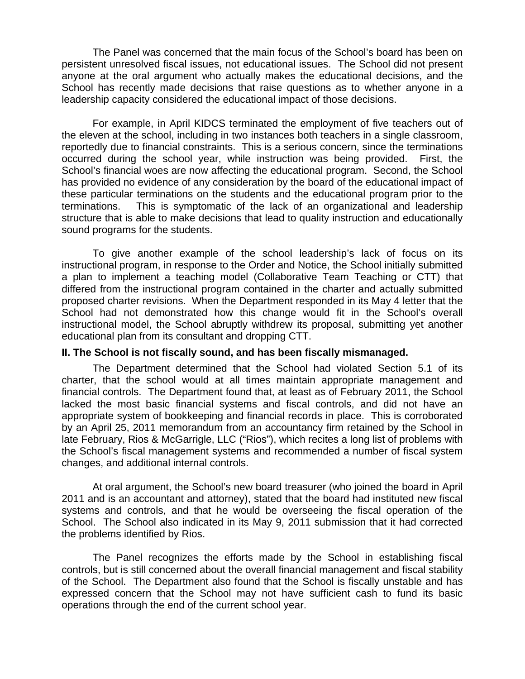The Panel was concerned that the main focus of the School's board has been on persistent unresolved fiscal issues, not educational issues. The School did not present anyone at the oral argument who actually makes the educational decisions, and the School has recently made decisions that raise questions as to whether anyone in a leadership capacity considered the educational impact of those decisions.

For example, in April KIDCS terminated the employment of five teachers out of the eleven at the school, including in two instances both teachers in a single classroom, reportedly due to financial constraints. This is a serious concern, since the terminations occurred during the school year, while instruction was being provided. First, the School's financial woes are now affecting the educational program. Second, the School has provided no evidence of any consideration by the board of the educational impact of these particular terminations on the students and the educational program prior to the terminations. This is symptomatic of the lack of an organizational and leadership structure that is able to make decisions that lead to quality instruction and educationally sound programs for the students.

 To give another example of the school leadership's lack of focus on its instructional program, in response to the Order and Notice, the School initially submitted a plan to implement a teaching model (Collaborative Team Teaching or CTT) that differed from the instructional program contained in the charter and actually submitted proposed charter revisions. When the Department responded in its May 4 letter that the School had not demonstrated how this change would fit in the School's overall instructional model, the School abruptly withdrew its proposal, submitting yet another educational plan from its consultant and dropping CTT.

### **II. The School is not fiscally sound, and has been fiscally mismanaged.**

The Department determined that the School had violated Section 5.1 of its charter, that the school would at all times maintain appropriate management and financial controls. The Department found that, at least as of February 2011, the School lacked the most basic financial systems and fiscal controls, and did not have an appropriate system of bookkeeping and financial records in place. This is corroborated by an April 25, 2011 memorandum from an accountancy firm retained by the School in late February, Rios & McGarrigle, LLC ("Rios"), which recites a long list of problems with the School's fiscal management systems and recommended a number of fiscal system changes, and additional internal controls.

At oral argument, the School's new board treasurer (who joined the board in April 2011 and is an accountant and attorney), stated that the board had instituted new fiscal systems and controls, and that he would be overseeing the fiscal operation of the School. The School also indicated in its May 9, 2011 submission that it had corrected the problems identified by Rios.

The Panel recognizes the efforts made by the School in establishing fiscal controls, but is still concerned about the overall financial management and fiscal stability of the School. The Department also found that the School is fiscally unstable and has expressed concern that the School may not have sufficient cash to fund its basic operations through the end of the current school year.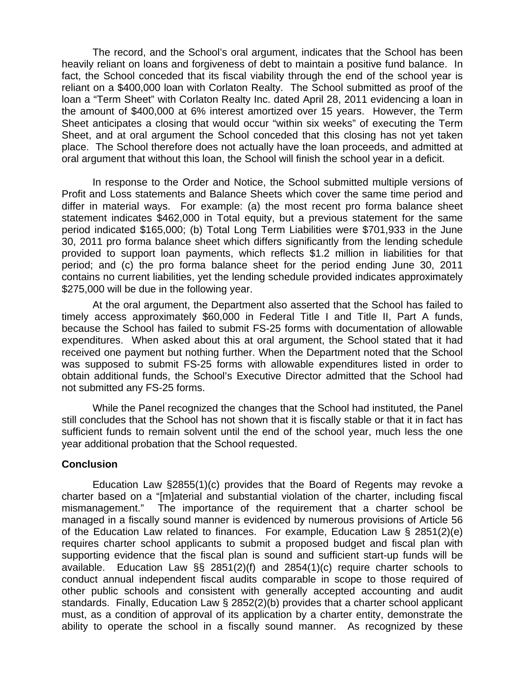The record, and the School's oral argument, indicates that the School has been heavily reliant on loans and forgiveness of debt to maintain a positive fund balance. In fact, the School conceded that its fiscal viability through the end of the school year is reliant on a \$400,000 loan with Corlaton Realty. The School submitted as proof of the loan a "Term Sheet" with Corlaton Realty Inc. dated April 28, 2011 evidencing a loan in the amount of \$400,000 at 6% interest amortized over 15 years. However, the Term Sheet anticipates a closing that would occur "within six weeks" of executing the Term Sheet, and at oral argument the School conceded that this closing has not yet taken place. The School therefore does not actually have the loan proceeds, and admitted at oral argument that without this loan, the School will finish the school year in a deficit.

In response to the Order and Notice, the School submitted multiple versions of Profit and Loss statements and Balance Sheets which cover the same time period and differ in material ways. For example: (a) the most recent pro forma balance sheet statement indicates \$462,000 in Total equity, but a previous statement for the same period indicated \$165,000; (b) Total Long Term Liabilities were \$701,933 in the June 30, 2011 pro forma balance sheet which differs significantly from the lending schedule provided to support loan payments, which reflects \$1.2 million in liabilities for that period; and (c) the pro forma balance sheet for the period ending June 30, 2011 contains no current liabilities, yet the lending schedule provided indicates approximately \$275,000 will be due in the following year.

At the oral argument, the Department also asserted that the School has failed to timely access approximately \$60,000 in Federal Title I and Title II, Part A funds, because the School has failed to submit FS-25 forms with documentation of allowable expenditures. When asked about this at oral argument, the School stated that it had received one payment but nothing further. When the Department noted that the School was supposed to submit FS-25 forms with allowable expenditures listed in order to obtain additional funds, the School's Executive Director admitted that the School had not submitted any FS-25 forms.

While the Panel recognized the changes that the School had instituted, the Panel still concludes that the School has not shown that it is fiscally stable or that it in fact has sufficient funds to remain solvent until the end of the school year, much less the one year additional probation that the School requested.

### **Conclusion**

Education Law §2855(1)(c) provides that the Board of Regents may revoke a charter based on a "[m]aterial and substantial violation of the charter, including fiscal mismanagement." The importance of the requirement that a charter school be managed in a fiscally sound manner is evidenced by numerous provisions of Article 56 of the Education Law related to finances. For example, Education Law § 2851(2)(e) requires charter school applicants to submit a proposed budget and fiscal plan with supporting evidence that the fiscal plan is sound and sufficient start-up funds will be available. Education Law §§ 2851(2)(f) and 2854(1)(c) require charter schools to conduct annual independent fiscal audits comparable in scope to those required of other public schools and consistent with generally accepted accounting and audit standards. Finally, Education Law § 2852(2)(b) provides that a charter school applicant must, as a condition of approval of its application by a charter entity, demonstrate the ability to operate the school in a fiscally sound manner. As recognized by these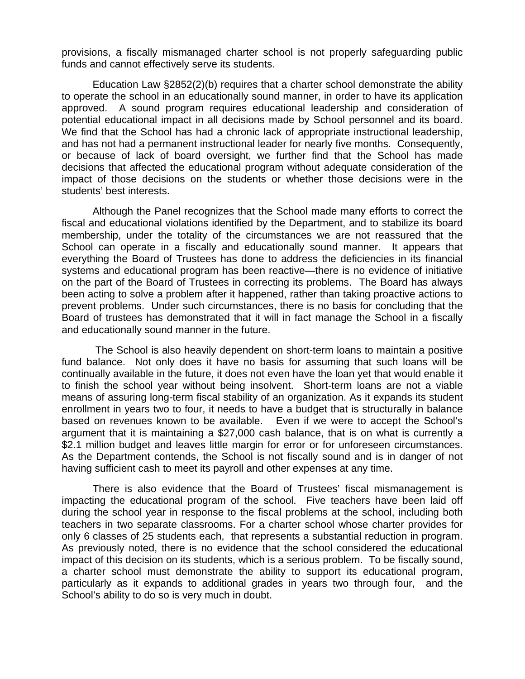provisions, a fiscally mismanaged charter school is not properly safeguarding public funds and cannot effectively serve its students.

 Education Law §2852(2)(b) requires that a charter school demonstrate the ability to operate the school in an educationally sound manner, in order to have its application approved. A sound program requires educational leadership and consideration of potential educational impact in all decisions made by School personnel and its board. We find that the School has had a chronic lack of appropriate instructional leadership, and has not had a permanent instructional leader for nearly five months. Consequently, or because of lack of board oversight, we further find that the School has made decisions that affected the educational program without adequate consideration of the impact of those decisions on the students or whether those decisions were in the students' best interests.

 Although the Panel recognizes that the School made many efforts to correct the fiscal and educational violations identified by the Department, and to stabilize its board membership, under the totality of the circumstances we are not reassured that the School can operate in a fiscally and educationally sound manner. It appears that everything the Board of Trustees has done to address the deficiencies in its financial systems and educational program has been reactive—there is no evidence of initiative on the part of the Board of Trustees in correcting its problems. The Board has always been acting to solve a problem after it happened, rather than taking proactive actions to prevent problems. Under such circumstances, there is no basis for concluding that the Board of trustees has demonstrated that it will in fact manage the School in a fiscally and educationally sound manner in the future.

 The School is also heavily dependent on short-term loans to maintain a positive fund balance. Not only does it have no basis for assuming that such loans will be continually available in the future, it does not even have the loan yet that would enable it to finish the school year without being insolvent. Short-term loans are not a viable means of assuring long-term fiscal stability of an organization. As it expands its student enrollment in years two to four, it needs to have a budget that is structurally in balance based on revenues known to be available. Even if we were to accept the School's argument that it is maintaining a \$27,000 cash balance, that is on what is currently a \$2.1 million budget and leaves little margin for error or for unforeseen circumstances. As the Department contends, the School is not fiscally sound and is in danger of not having sufficient cash to meet its payroll and other expenses at any time.

 There is also evidence that the Board of Trustees' fiscal mismanagement is impacting the educational program of the school. Five teachers have been laid off during the school year in response to the fiscal problems at the school, including both teachers in two separate classrooms. For a charter school whose charter provides for only 6 classes of 25 students each, that represents a substantial reduction in program. As previously noted, there is no evidence that the school considered the educational impact of this decision on its students, which is a serious problem. To be fiscally sound, a charter school must demonstrate the ability to support its educational program, particularly as it expands to additional grades in years two through four, and the School's ability to do so is very much in doubt.